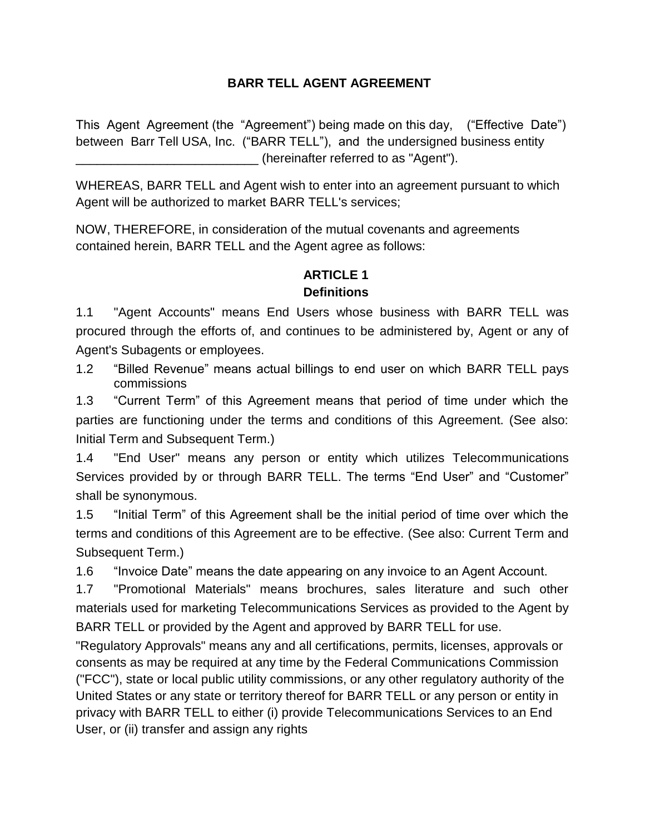## **BARR TELL AGENT AGREEMENT**

This Agent Agreement (the "Agreement") being made on this day, ("Effective Date") between Barr Tell USA, Inc. ("BARR TELL"), and the undersigned business entity (hereinafter referred to as "Agent").

WHEREAS, BARR TELL and Agent wish to enter into an agreement pursuant to which Agent will be authorized to market BARR TELL's services;

NOW, THEREFORE, in consideration of the mutual covenants and agreements contained herein, BARR TELL and the Agent agree as follows:

## **ARTICLE 1**

## **Definitions**

1.1 "Agent Accounts" means End Users whose business with BARR TELL was procured through the efforts of, and continues to be administered by, Agent or any of Agent's Subagents or employees.

1.2 "Billed Revenue" means actual billings to end user on which BARR TELL pays commissions

1.3 "Current Term" of this Agreement means that period of time under which the parties are functioning under the terms and conditions of this Agreement. (See also: Initial Term and Subsequent Term.)

1.4 "End User" means any person or entity which utilizes Telecommunications Services provided by or through BARR TELL. The terms "End User" and "Customer" shall be synonymous.

1.5 "Initial Term" of this Agreement shall be the initial period of time over which the terms and conditions of this Agreement are to be effective. (See also: Current Term and Subsequent Term.)

1.6 "Invoice Date" means the date appearing on any invoice to an Agent Account.

1.7 "Promotional Materials" means brochures, sales literature and such other materials used for marketing Telecommunications Services as provided to the Agent by BARR TELL or provided by the Agent and approved by BARR TELL for use.

"Regulatory Approvals" means any and all certifications, permits, licenses, approvals or consents as may be required at any time by the Federal Communications Commission ("FCC"), state or local public utility commissions, or any other regulatory authority of the United States or any state or territory thereof for BARR TELL or any person or entity in privacy with BARR TELL to either (i) provide Telecommunications Services to an End User, or (ii) transfer and assign any rights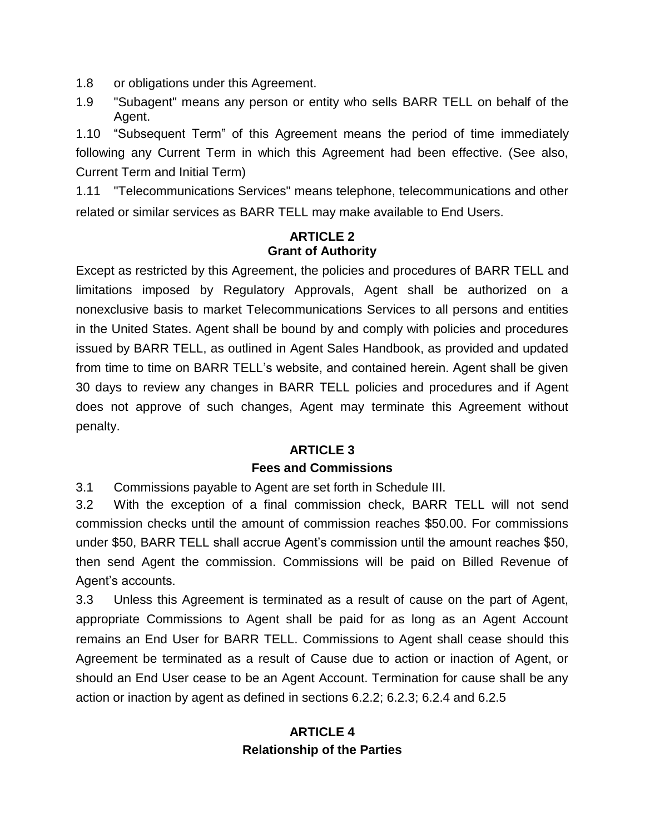1.8 or obligations under this Agreement.

1.9 "Subagent" means any person or entity who sells BARR TELL on behalf of the Agent.

1.10 "Subsequent Term" of this Agreement means the period of time immediately following any Current Term in which this Agreement had been effective. (See also, Current Term and Initial Term)

1.11 "Telecommunications Services" means telephone, telecommunications and other related or similar services as BARR TELL may make available to End Users.

#### **ARTICLE 2 Grant of Authority**

Except as restricted by this Agreement, the policies and procedures of BARR TELL and limitations imposed by Regulatory Approvals, Agent shall be authorized on a nonexclusive basis to market Telecommunications Services to all persons and entities in the United States. Agent shall be bound by and comply with policies and procedures issued by BARR TELL, as outlined in Agent Sales Handbook, as provided and updated from time to time on BARR TELL's website, and contained herein. Agent shall be given 30 days to review any changes in BARR TELL policies and procedures and if Agent does not approve of such changes, Agent may terminate this Agreement without penalty.

## **ARTICLE 3 Fees and Commissions**

3.1 Commissions payable to Agent are set forth in Schedule III.

3.2 With the exception of a final commission check, BARR TELL will not send commission checks until the amount of commission reaches \$50.00. For commissions under \$50, BARR TELL shall accrue Agent's commission until the amount reaches \$50, then send Agent the commission. Commissions will be paid on Billed Revenue of Agent's accounts.

3.3 Unless this Agreement is terminated as a result of cause on the part of Agent, appropriate Commissions to Agent shall be paid for as long as an Agent Account remains an End User for BARR TELL. Commissions to Agent shall cease should this Agreement be terminated as a result of Cause due to action or inaction of Agent, or should an End User cease to be an Agent Account. Termination for cause shall be any action or inaction by agent as defined in sections 6.2.2; 6.2.3; 6.2.4 and 6.2.5

## **ARTICLE 4 Relationship of the Parties**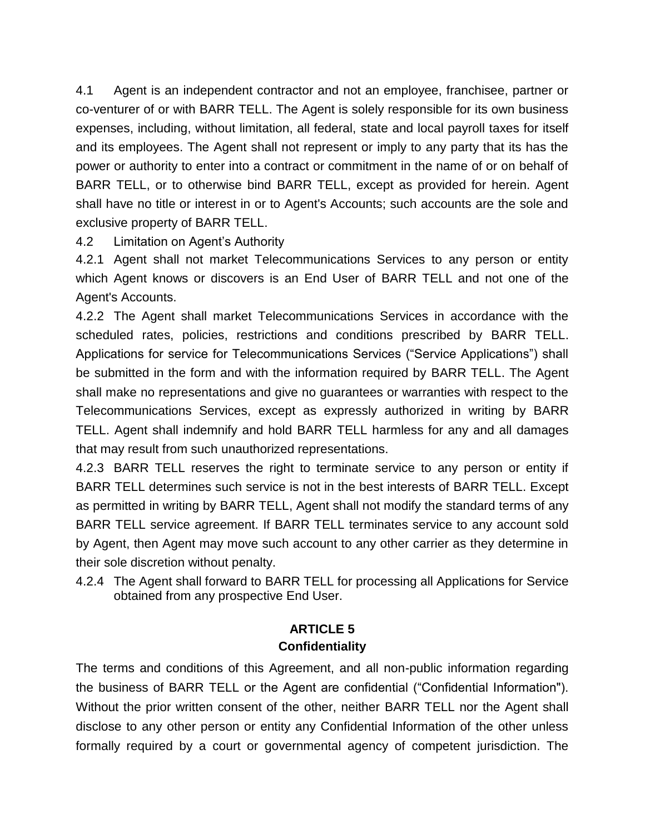4.1 Agent is an independent contractor and not an employee, franchisee, partner or co-venturer of or with BARR TELL. The Agent is solely responsible for its own business expenses, including, without limitation, all federal, state and local payroll taxes for itself and its employees. The Agent shall not represent or imply to any party that its has the power or authority to enter into a contract or commitment in the name of or on behalf of BARR TELL, or to otherwise bind BARR TELL, except as provided for herein. Agent shall have no title or interest in or to Agent's Accounts; such accounts are the sole and exclusive property of BARR TELL.

4.2 Limitation on Agent's Authority

4.2.1 Agent shall not market Telecommunications Services to any person or entity which Agent knows or discovers is an End User of BARR TELL and not one of the Agent's Accounts.

4.2.2 The Agent shall market Telecommunications Services in accordance with the scheduled rates, policies, restrictions and conditions prescribed by BARR TELL. Applications for service for Telecommunications Services ("Service Applications") shall be submitted in the form and with the information required by BARR TELL. The Agent shall make no representations and give no guarantees or warranties with respect to the Telecommunications Services, except as expressly authorized in writing by BARR TELL. Agent shall indemnify and hold BARR TELL harmless for any and all damages that may result from such unauthorized representations.

4.2.3 BARR TELL reserves the right to terminate service to any person or entity if BARR TELL determines such service is not in the best interests of BARR TELL. Except as permitted in writing by BARR TELL, Agent shall not modify the standard terms of any BARR TELL service agreement. If BARR TELL terminates service to any account sold by Agent, then Agent may move such account to any other carrier as they determine in their sole discretion without penalty.

4.2.4 The Agent shall forward to BARR TELL for processing all Applications for Service obtained from any prospective End User.

## **ARTICLE 5 Confidentiality**

The terms and conditions of this Agreement, and all non-public information regarding the business of BARR TELL or the Agent are confidential ("Confidential Information"). Without the prior written consent of the other, neither BARR TELL nor the Agent shall disclose to any other person or entity any Confidential Information of the other unless formally required by a court or governmental agency of competent jurisdiction. The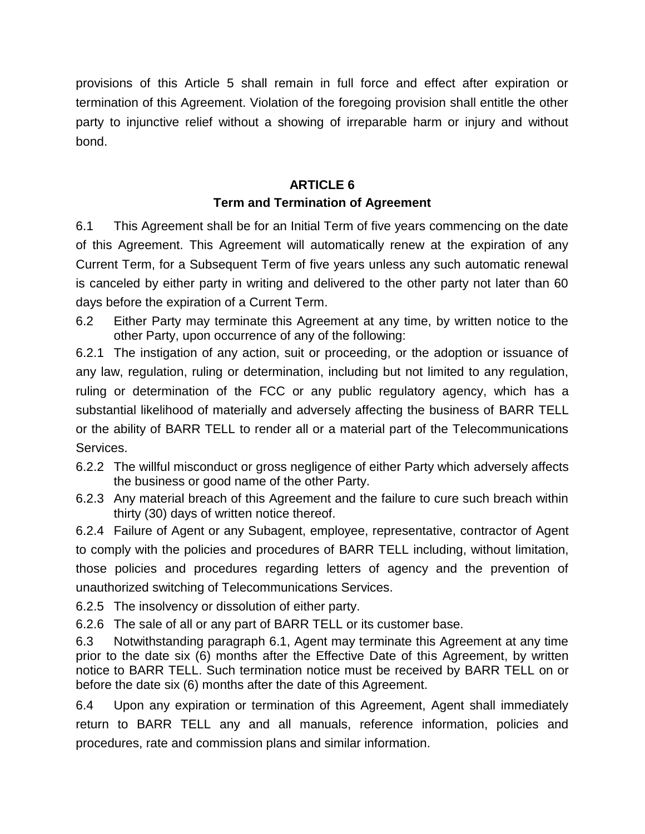provisions of this Article 5 shall remain in full force and effect after expiration or termination of this Agreement. Violation of the foregoing provision shall entitle the other party to injunctive relief without a showing of irreparable harm or injury and without bond.

## **ARTICLE 6 Term and Termination of Agreement**

6.1 This Agreement shall be for an Initial Term of five years commencing on the date of this Agreement. This Agreement will automatically renew at the expiration of any Current Term, for a Subsequent Term of five years unless any such automatic renewal is canceled by either party in writing and delivered to the other party not later than 60 days before the expiration of a Current Term.

6.2 Either Party may terminate this Agreement at any time, by written notice to the other Party, upon occurrence of any of the following:

6.2.1 The instigation of any action, suit or proceeding, or the adoption or issuance of any law, regulation, ruling or determination, including but not limited to any regulation, ruling or determination of the FCC or any public regulatory agency, which has a substantial likelihood of materially and adversely affecting the business of BARR TELL or the ability of BARR TELL to render all or a material part of the Telecommunications Services.

- 6.2.2 The willful misconduct or gross negligence of either Party which adversely affects the business or good name of the other Party.
- 6.2.3 Any material breach of this Agreement and the failure to cure such breach within thirty (30) days of written notice thereof.

6.2.4 Failure of Agent or any Subagent, employee, representative, contractor of Agent to comply with the policies and procedures of BARR TELL including, without limitation, those policies and procedures regarding letters of agency and the prevention of unauthorized switching of Telecommunications Services.

6.2.5 The insolvency or dissolution of either party.

6.2.6 The sale of all or any part of BARR TELL or its customer base.

6.3 Notwithstanding paragraph 6.1, Agent may terminate this Agreement at any time prior to the date six (6) months after the Effective Date of this Agreement, by written notice to BARR TELL. Such termination notice must be received by BARR TELL on or before the date six (6) months after the date of this Agreement.

6.4 Upon any expiration or termination of this Agreement, Agent shall immediately return to BARR TELL any and all manuals, reference information, policies and procedures, rate and commission plans and similar information.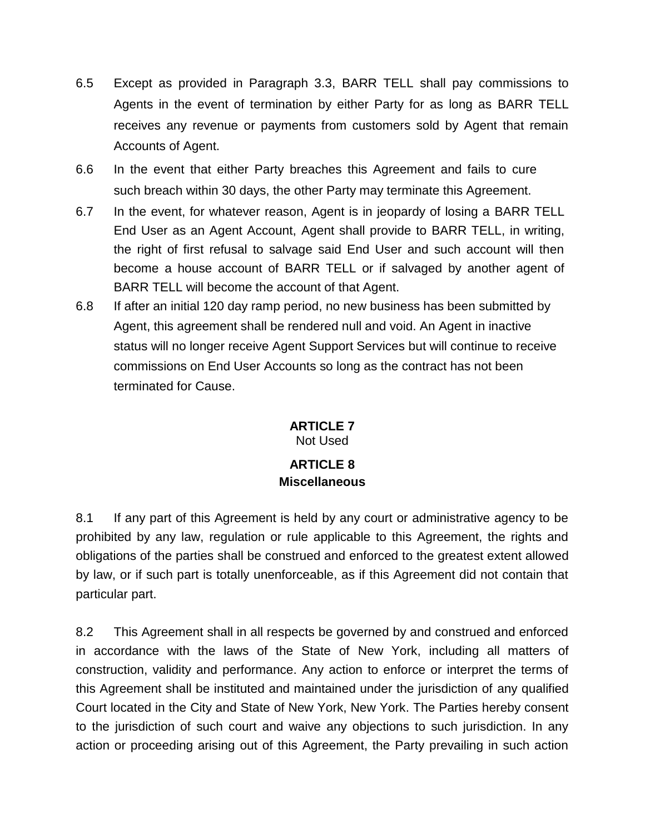- 6.5 Except as provided in Paragraph 3.3, BARR TELL shall pay commissions to Agents in the event of termination by either Party for as long as BARR TELL receives any revenue or payments from customers sold by Agent that remain Accounts of Agent.
- 6.6 In the event that either Party breaches this Agreement and fails to cure such breach within 30 days, the other Party may terminate this Agreement.
- 6.7 In the event, for whatever reason, Agent is in jeopardy of losing a BARR TELL End User as an Agent Account, Agent shall provide to BARR TELL, in writing, the right of first refusal to salvage said End User and such account will then become a house account of BARR TELL or if salvaged by another agent of BARR TELL will become the account of that Agent.
- 6.8 If after an initial 120 day ramp period, no new business has been submitted by Agent, this agreement shall be rendered null and void. An Agent in inactive status will no longer receive Agent Support Services but will continue to receive commissions on End User Accounts so long as the contract has not been terminated for Cause.

# **ARTICLE 7**

Not Used

## **ARTICLE 8 Miscellaneous**

8.1 If any part of this Agreement is held by any court or administrative agency to be prohibited by any law, regulation or rule applicable to this Agreement, the rights and obligations of the parties shall be construed and enforced to the greatest extent allowed by law, or if such part is totally unenforceable, as if this Agreement did not contain that particular part.

8.2 This Agreement shall in all respects be governed by and construed and enforced in accordance with the laws of the State of New York, including all matters of construction, validity and performance. Any action to enforce or interpret the terms of this Agreement shall be instituted and maintained under the jurisdiction of any qualified Court located in the City and State of New York, New York. The Parties hereby consent to the jurisdiction of such court and waive any objections to such jurisdiction. In any action or proceeding arising out of this Agreement, the Party prevailing in such action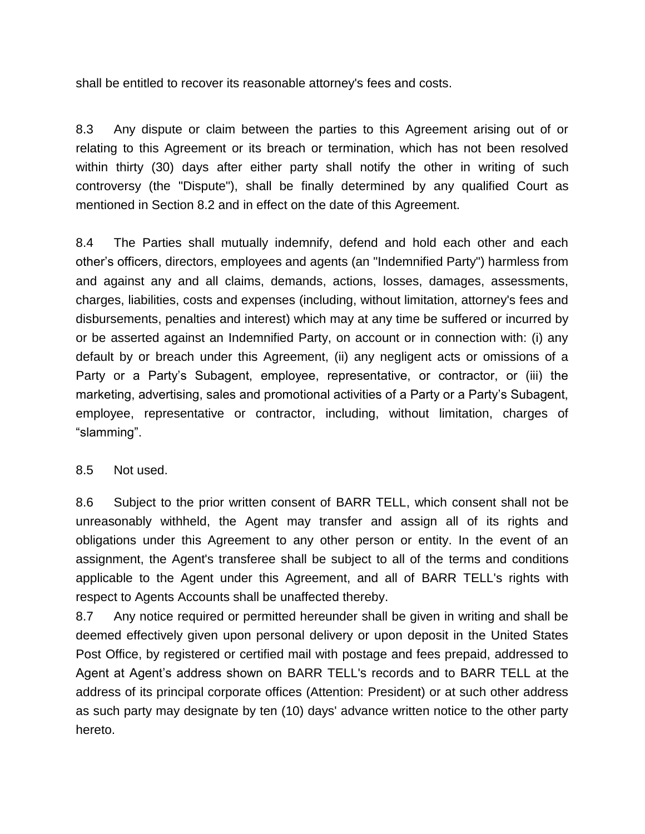shall be entitled to recover its reasonable attorney's fees and costs.

8.3 Any dispute or claim between the parties to this Agreement arising out of or relating to this Agreement or its breach or termination, which has not been resolved within thirty (30) days after either party shall notify the other in writing of such controversy (the "Dispute"), shall be finally determined by any qualified Court as mentioned in Section 8.2 and in effect on the date of this Agreement.

8.4 The Parties shall mutually indemnify, defend and hold each other and each other's officers, directors, employees and agents (an "Indemnified Party") harmless from and against any and all claims, demands, actions, losses, damages, assessments, charges, liabilities, costs and expenses (including, without limitation, attorney's fees and disbursements, penalties and interest) which may at any time be suffered or incurred by or be asserted against an Indemnified Party, on account or in connection with: (i) any default by or breach under this Agreement, (ii) any negligent acts or omissions of a Party or a Party's Subagent, employee, representative, or contractor, or (iii) the marketing, advertising, sales and promotional activities of a Party or a Party's Subagent, employee, representative or contractor, including, without limitation, charges of "slamming".

#### 8.5 Not used.

8.6 Subject to the prior written consent of BARR TELL, which consent shall not be unreasonably withheld, the Agent may transfer and assign all of its rights and obligations under this Agreement to any other person or entity. In the event of an assignment, the Agent's transferee shall be subject to all of the terms and conditions applicable to the Agent under this Agreement, and all of BARR TELL's rights with respect to Agents Accounts shall be unaffected thereby.

8.7 Any notice required or permitted hereunder shall be given in writing and shall be deemed effectively given upon personal delivery or upon deposit in the United States Post Office, by registered or certified mail with postage and fees prepaid, addressed to Agent at Agent's address shown on BARR TELL's records and to BARR TELL at the address of its principal corporate offices (Attention: President) or at such other address as such party may designate by ten (10) days' advance written notice to the other party hereto.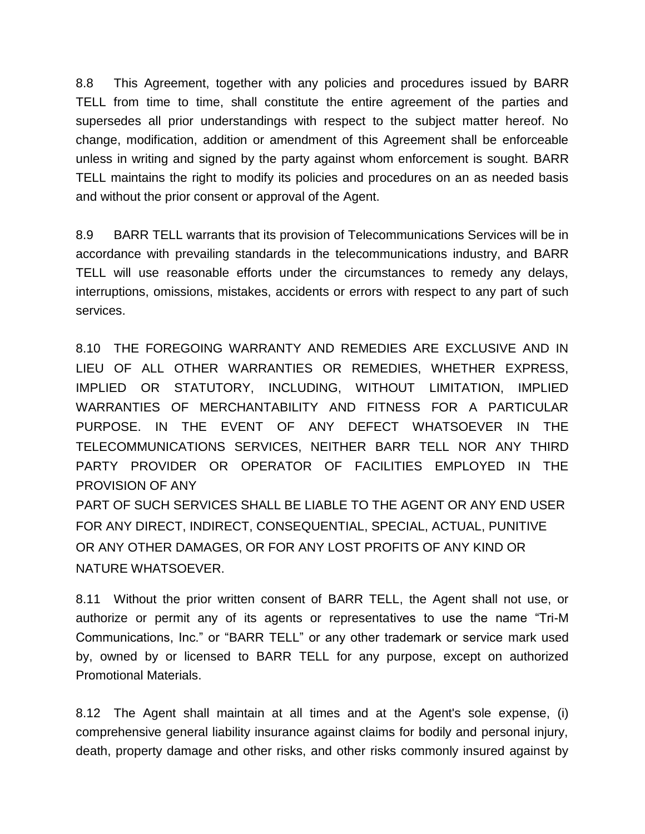8.8 This Agreement, together with any policies and procedures issued by BARR TELL from time to time, shall constitute the entire agreement of the parties and supersedes all prior understandings with respect to the subject matter hereof. No change, modification, addition or amendment of this Agreement shall be enforceable unless in writing and signed by the party against whom enforcement is sought. BARR TELL maintains the right to modify its policies and procedures on an as needed basis and without the prior consent or approval of the Agent.

8.9 BARR TELL warrants that its provision of Telecommunications Services will be in accordance with prevailing standards in the telecommunications industry, and BARR TELL will use reasonable efforts under the circumstances to remedy any delays, interruptions, omissions, mistakes, accidents or errors with respect to any part of such services.

8.10 THE FOREGOING WARRANTY AND REMEDIES ARE EXCLUSIVE AND IN LIEU OF ALL OTHER WARRANTIES OR REMEDIES, WHETHER EXPRESS, IMPLIED OR STATUTORY, INCLUDING, WITHOUT LIMITATION, IMPLIED WARRANTIES OF MERCHANTABILITY AND FITNESS FOR A PARTICULAR PURPOSE. IN THE EVENT OF ANY DEFECT WHATSOEVER IN THE TELECOMMUNICATIONS SERVICES, NEITHER BARR TELL NOR ANY THIRD PARTY PROVIDER OR OPERATOR OF FACILITIES EMPLOYED IN THE PROVISION OF ANY

PART OF SUCH SERVICES SHALL BE LIABLE TO THE AGENT OR ANY END USER FOR ANY DIRECT, INDIRECT, CONSEQUENTIAL, SPECIAL, ACTUAL, PUNITIVE OR ANY OTHER DAMAGES, OR FOR ANY LOST PROFITS OF ANY KIND OR NATURE WHATSOEVER.

8.11 Without the prior written consent of BARR TELL, the Agent shall not use, or authorize or permit any of its agents or representatives to use the name "Tri-M Communications, Inc." or "BARR TELL" or any other trademark or service mark used by, owned by or licensed to BARR TELL for any purpose, except on authorized Promotional Materials.

8.12 The Agent shall maintain at all times and at the Agent's sole expense, (i) comprehensive general liability insurance against claims for bodily and personal injury, death, property damage and other risks, and other risks commonly insured against by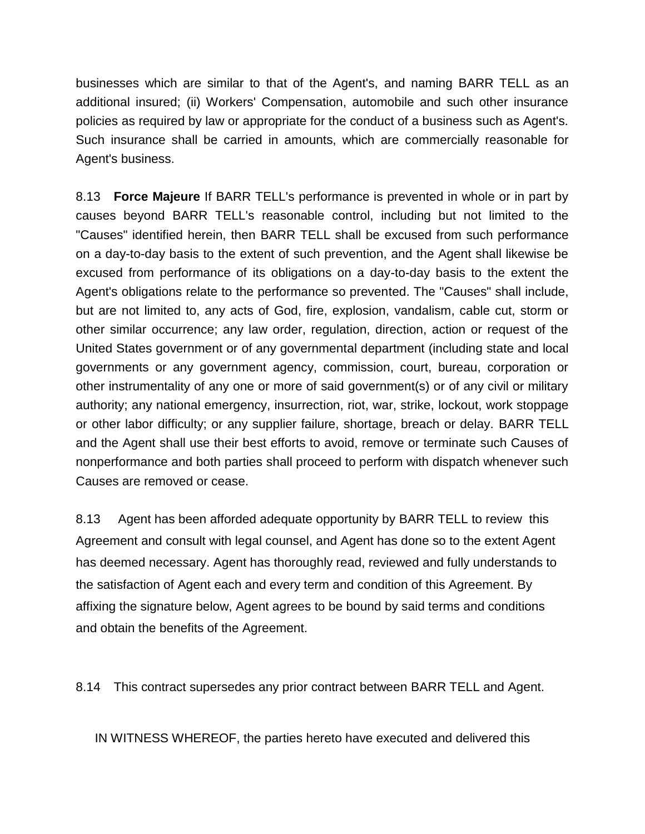businesses which are similar to that of the Agent's, and naming BARR TELL as an additional insured; (ii) Workers' Compensation, automobile and such other insurance policies as required by law or appropriate for the conduct of a business such as Agent's. Such insurance shall be carried in amounts, which are commercially reasonable for Agent's business.

8.13 **Force Majeure** If BARR TELL's performance is prevented in whole or in part by causes beyond BARR TELL's reasonable control, including but not limited to the "Causes" identified herein, then BARR TELL shall be excused from such performance on a day-to-day basis to the extent of such prevention, and the Agent shall likewise be excused from performance of its obligations on a day-to-day basis to the extent the Agent's obligations relate to the performance so prevented. The "Causes" shall include, but are not limited to, any acts of God, fire, explosion, vandalism, cable cut, storm or other similar occurrence; any law order, regulation, direction, action or request of the United States government or of any governmental department (including state and local governments or any government agency, commission, court, bureau, corporation or other instrumentality of any one or more of said government(s) or of any civil or military authority; any national emergency, insurrection, riot, war, strike, lockout, work stoppage or other labor difficulty; or any supplier failure, shortage, breach or delay. BARR TELL and the Agent shall use their best efforts to avoid, remove or terminate such Causes of nonperformance and both parties shall proceed to perform with dispatch whenever such Causes are removed or cease.

8.13 Agent has been afforded adequate opportunity by BARR TELL to review this Agreement and consult with legal counsel, and Agent has done so to the extent Agent has deemed necessary. Agent has thoroughly read, reviewed and fully understands to the satisfaction of Agent each and every term and condition of this Agreement. By affixing the signature below, Agent agrees to be bound by said terms and conditions and obtain the benefits of the Agreement.

8.14 This contract supersedes any prior contract between BARR TELL and Agent.

IN WITNESS WHEREOF, the parties hereto have executed and delivered this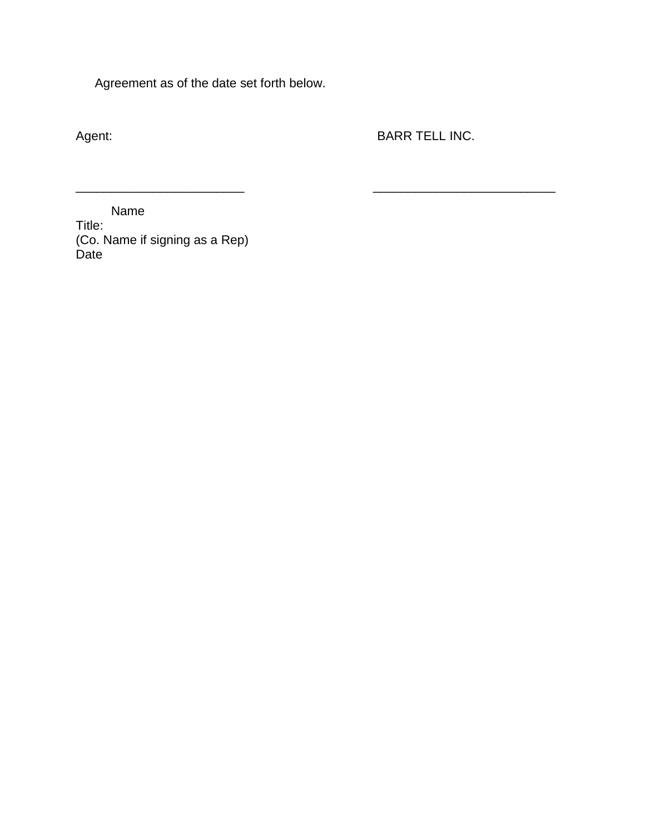Agreement as of the date set forth below.

Agent: **BARR TELL INC.** 

\_\_\_\_\_\_\_\_\_\_\_\_\_\_\_\_\_\_\_\_\_\_\_\_ \_\_\_\_\_\_\_\_\_\_\_\_\_\_\_\_\_\_\_\_\_\_\_\_\_\_

 Name Title: (Co. Name if signing as a Rep) Date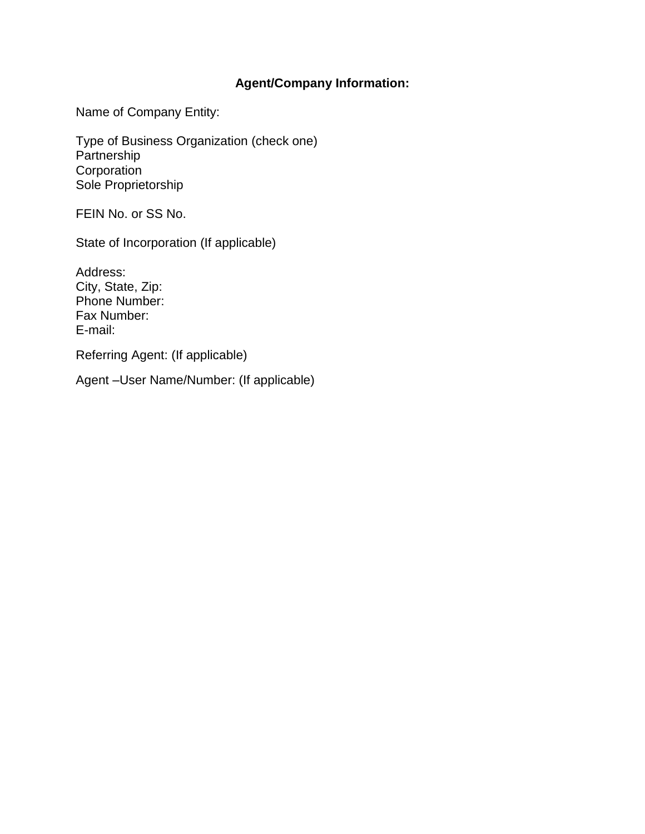## **Agent/Company Information:**

Name of Company Entity:

Type of Business Organization (check one) Partnership Corporation Sole Proprietorship

FEIN No. or SS No.

State of Incorporation (If applicable)

Address: City, State, Zip: Phone Number: Fax Number: E-mail:

Referring Agent: (If applicable)

Agent –User Name/Number: (If applicable)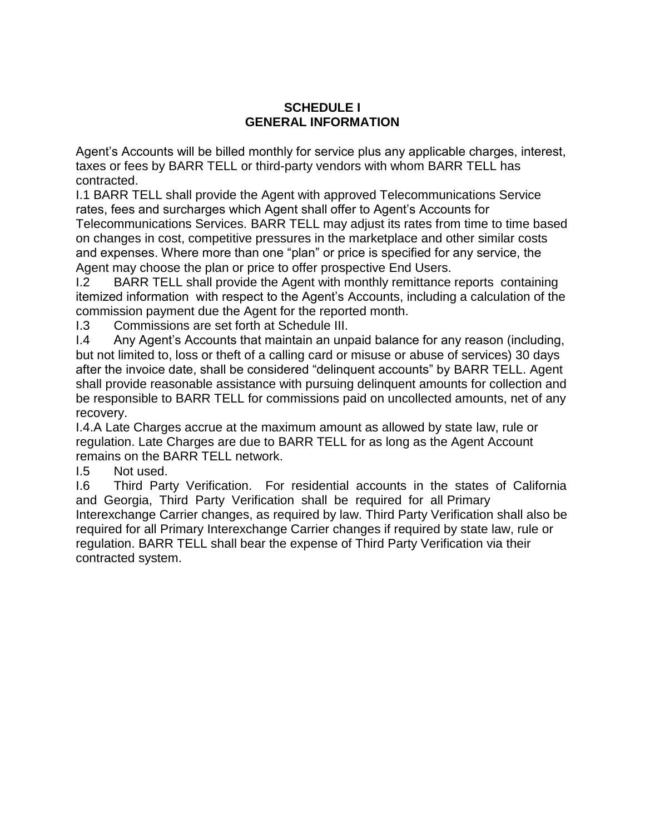#### **SCHEDULE I GENERAL INFORMATION**

Agent's Accounts will be billed monthly for service plus any applicable charges, interest, taxes or fees by BARR TELL or third-party vendors with whom BARR TELL has contracted.

I.1 BARR TELL shall provide the Agent with approved Telecommunications Service rates, fees and surcharges which Agent shall offer to Agent's Accounts for Telecommunications Services. BARR TELL may adjust its rates from time to time based on changes in cost, competitive pressures in the marketplace and other similar costs and expenses. Where more than one "plan" or price is specified for any service, the Agent may choose the plan or price to offer prospective End Users.

I.2 BARR TELL shall provide the Agent with monthly remittance reports containing itemized information with respect to the Agent's Accounts, including a calculation of the commission payment due the Agent for the reported month.

I.3 Commissions are set forth at Schedule III.

I.4 Any Agent's Accounts that maintain an unpaid balance for any reason (including, but not limited to, loss or theft of a calling card or misuse or abuse of services) 30 days after the invoice date, shall be considered "delinquent accounts" by BARR TELL. Agent shall provide reasonable assistance with pursuing delinquent amounts for collection and be responsible to BARR TELL for commissions paid on uncollected amounts, net of any recovery.

I.4.A Late Charges accrue at the maximum amount as allowed by state law, rule or regulation. Late Charges are due to BARR TELL for as long as the Agent Account remains on the BARR TELL network.

I.5 Not used.

I.6 Third Party Verification. For residential accounts in the states of California and Georgia, Third Party Verification shall be required for all Primary Interexchange Carrier changes, as required by law. Third Party Verification shall also be required for all Primary Interexchange Carrier changes if required by state law, rule or regulation. BARR TELL shall bear the expense of Third Party Verification via their contracted system.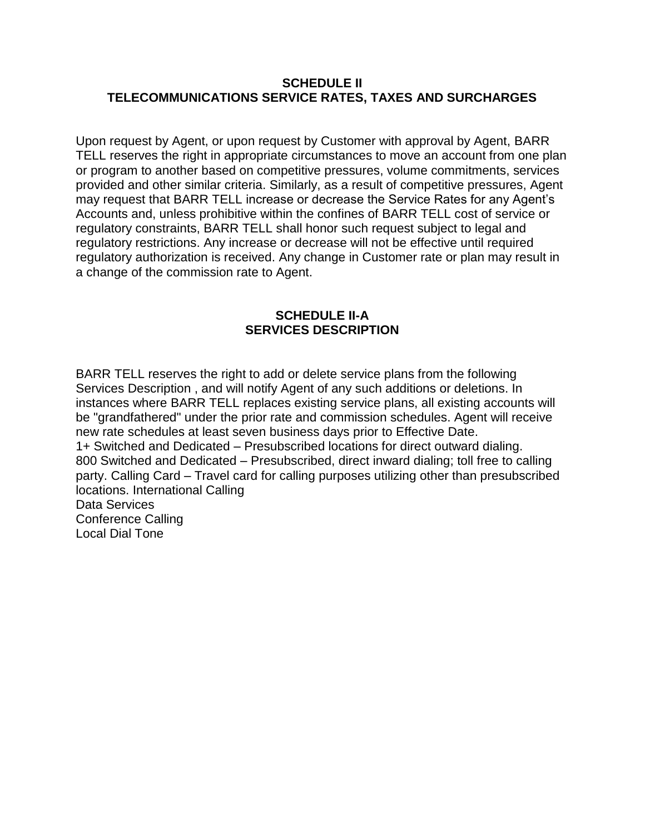#### **SCHEDULE II TELECOMMUNICATIONS SERVICE RATES, TAXES AND SURCHARGES**

Upon request by Agent, or upon request by Customer with approval by Agent, BARR TELL reserves the right in appropriate circumstances to move an account from one plan or program to another based on competitive pressures, volume commitments, services provided and other similar criteria. Similarly, as a result of competitive pressures, Agent may request that BARR TELL increase or decrease the Service Rates for any Agent's Accounts and, unless prohibitive within the confines of BARR TELL cost of service or regulatory constraints, BARR TELL shall honor such request subject to legal and regulatory restrictions. Any increase or decrease will not be effective until required regulatory authorization is received. Any change in Customer rate or plan may result in a change of the commission rate to Agent.

#### **SCHEDULE II-A SERVICES DESCRIPTION**

BARR TELL reserves the right to add or delete service plans from the following Services Description , and will notify Agent of any such additions or deletions. In instances where BARR TELL replaces existing service plans, all existing accounts will be "grandfathered" under the prior rate and commission schedules. Agent will receive new rate schedules at least seven business days prior to Effective Date. 1+ Switched and Dedicated – Presubscribed locations for direct outward dialing. 800 Switched and Dedicated – Presubscribed, direct inward dialing; toll free to calling party. Calling Card – Travel card for calling purposes utilizing other than presubscribed locations. International Calling Data Services Conference Calling Local Dial Tone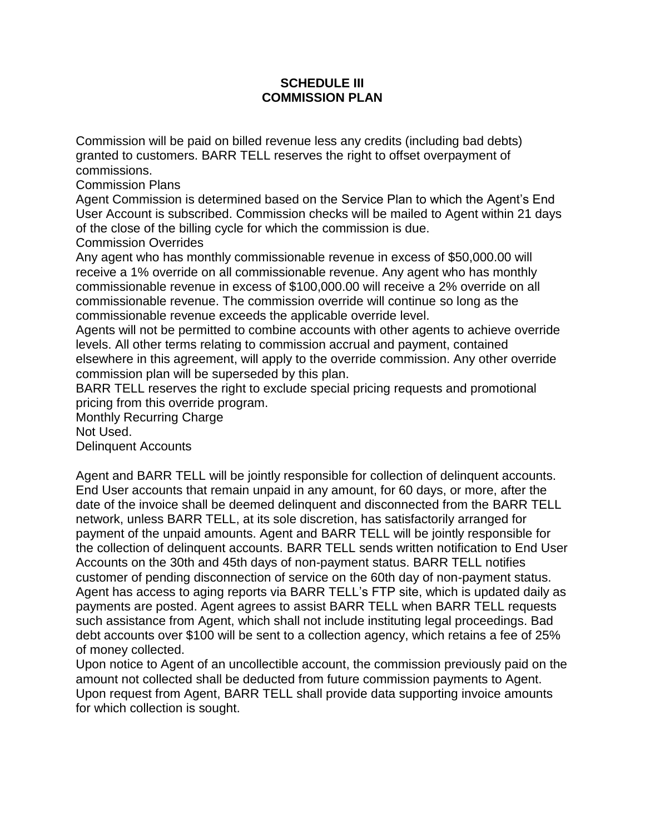#### **SCHEDULE III COMMISSION PLAN**

Commission will be paid on billed revenue less any credits (including bad debts) granted to customers. BARR TELL reserves the right to offset overpayment of commissions.

Commission Plans

Agent Commission is determined based on the Service Plan to which the Agent's End User Account is subscribed. Commission checks will be mailed to Agent within 21 days of the close of the billing cycle for which the commission is due.

Commission Overrides

Any agent who has monthly commissionable revenue in excess of \$50,000.00 will receive a 1% override on all commissionable revenue. Any agent who has monthly commissionable revenue in excess of \$100,000.00 will receive a 2% override on all commissionable revenue. The commission override will continue so long as the commissionable revenue exceeds the applicable override level.

Agents will not be permitted to combine accounts with other agents to achieve override levels. All other terms relating to commission accrual and payment, contained elsewhere in this agreement, will apply to the override commission. Any other override commission plan will be superseded by this plan.

BARR TELL reserves the right to exclude special pricing requests and promotional pricing from this override program.

Monthly Recurring Charge Not Used.

Delinquent Accounts

Agent and BARR TELL will be jointly responsible for collection of delinquent accounts. End User accounts that remain unpaid in any amount, for 60 days, or more, after the date of the invoice shall be deemed delinquent and disconnected from the BARR TELL network, unless BARR TELL, at its sole discretion, has satisfactorily arranged for payment of the unpaid amounts. Agent and BARR TELL will be jointly responsible for the collection of delinquent accounts. BARR TELL sends written notification to End User Accounts on the 30th and 45th days of non-payment status. BARR TELL notifies customer of pending disconnection of service on the 60th day of non-payment status. Agent has access to aging reports via BARR TELL's FTP site, which is updated daily as payments are posted. Agent agrees to assist BARR TELL when BARR TELL requests such assistance from Agent, which shall not include instituting legal proceedings. Bad debt accounts over \$100 will be sent to a collection agency, which retains a fee of 25% of money collected.

Upon notice to Agent of an uncollectible account, the commission previously paid on the amount not collected shall be deducted from future commission payments to Agent. Upon request from Agent, BARR TELL shall provide data supporting invoice amounts for which collection is sought.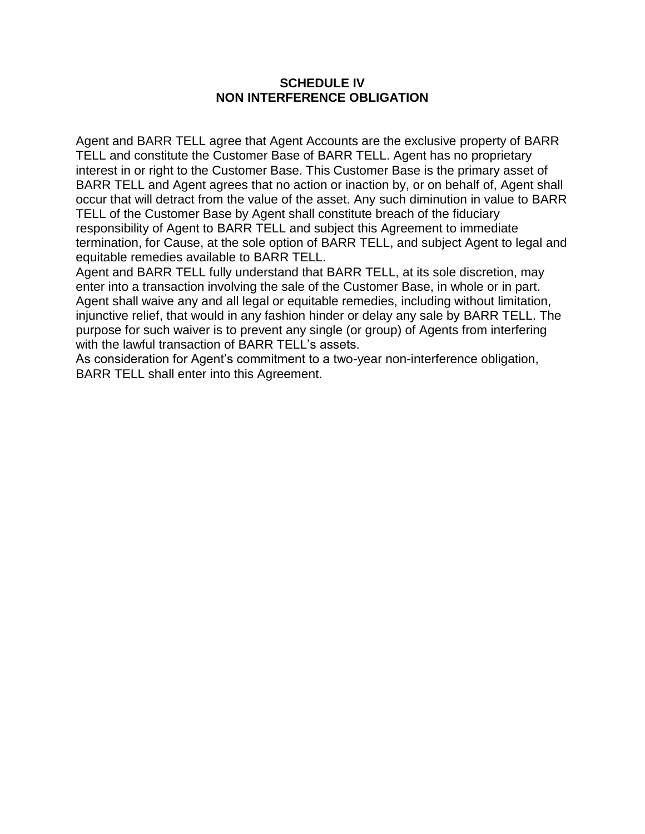#### **SCHEDULE IV NON INTERFERENCE OBLIGATION**

Agent and BARR TELL agree that Agent Accounts are the exclusive property of BARR TELL and constitute the Customer Base of BARR TELL. Agent has no proprietary interest in or right to the Customer Base. This Customer Base is the primary asset of BARR TELL and Agent agrees that no action or inaction by, or on behalf of, Agent shall occur that will detract from the value of the asset. Any such diminution in value to BARR TELL of the Customer Base by Agent shall constitute breach of the fiduciary responsibility of Agent to BARR TELL and subject this Agreement to immediate termination, for Cause, at the sole option of BARR TELL, and subject Agent to legal and equitable remedies available to BARR TELL.

Agent and BARR TELL fully understand that BARR TELL, at its sole discretion, may enter into a transaction involving the sale of the Customer Base, in whole or in part. Agent shall waive any and all legal or equitable remedies, including without limitation, injunctive relief, that would in any fashion hinder or delay any sale by BARR TELL. The purpose for such waiver is to prevent any single (or group) of Agents from interfering with the lawful transaction of BARR TELL's assets.

As consideration for Agent's commitment to a two-year non-interference obligation, BARR TELL shall enter into this Agreement.